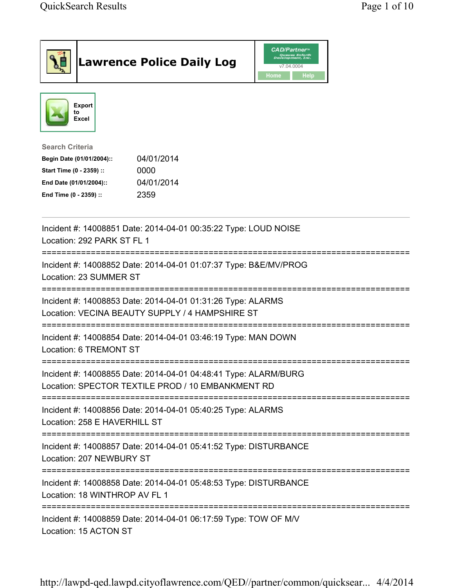| <b>Lawrence Police Daily Log</b>                                                                                                                                                 | <b>CAD/Partner</b> "<br>Queues Enforth<br>Development, Inc.<br>v7.04.0004<br>Home<br>Help |
|----------------------------------------------------------------------------------------------------------------------------------------------------------------------------------|-------------------------------------------------------------------------------------------|
| Export<br>to<br><b>Excel</b>                                                                                                                                                     |                                                                                           |
| <b>Search Criteria</b><br>04/01/2014<br>Begin Date (01/01/2004)::<br>Start Time (0 - 2359) ::<br>0000<br>04/01/2014<br>End Date (01/01/2004)::<br>2359<br>End Time (0 - 2359) :: |                                                                                           |
| Incident #: 14008851 Date: 2014-04-01 00:35:22 Type: LOUD NOISE<br>Location: 292 PARK ST FL 1                                                                                    |                                                                                           |
| Incident #: 14008852 Date: 2014-04-01 01:07:37 Type: B&E/MV/PROG<br>Location: 23 SUMMER ST                                                                                       |                                                                                           |
| Incident #: 14008853 Date: 2014-04-01 01:31:26 Type: ALARMS<br>Location: VECINA BEAUTY SUPPLY / 4 HAMPSHIRE ST                                                                   |                                                                                           |
| Incident #: 14008854 Date: 2014-04-01 03:46:19 Type: MAN DOWN<br>Location: 6 TREMONT ST                                                                                          |                                                                                           |
| Incident #: 14008855 Date: 2014-04-01 04:48:41 Type: ALARM/BURG<br>Location: SPECTOR TEXTILE PROD / 10 EMBANKMENT RD                                                             |                                                                                           |
| Incident #: 14008856 Date: 2014-04-01 05:40:25 Type: ALARMS<br>Location: 258 E HAVERHILL ST                                                                                      |                                                                                           |
| Incident #: 14008857 Date: 2014-04-01 05:41:52 Type: DISTURBANCE<br>Location: 207 NEWBURY ST                                                                                     |                                                                                           |
| Incident #: 14008858 Date: 2014-04-01 05:48:53 Type: DISTURBANCE<br>Location: 18 WINTHROP AV FL 1                                                                                |                                                                                           |
| Incident #: 14008859 Date: 2014-04-01 06:17:59 Type: TOW OF M/V<br>Location: 15 ACTON ST                                                                                         |                                                                                           |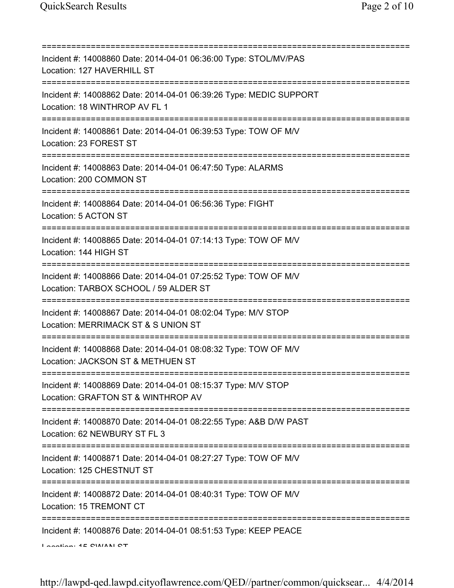| ==========================                                                                                                                   |
|----------------------------------------------------------------------------------------------------------------------------------------------|
| Incident #: 14008860 Date: 2014-04-01 06:36:00 Type: STOL/MV/PAS<br>Location: 127 HAVERHILL ST                                               |
| Incident #: 14008862 Date: 2014-04-01 06:39:26 Type: MEDIC SUPPORT<br>Location: 18 WINTHROP AV FL 1                                          |
| Incident #: 14008861 Date: 2014-04-01 06:39:53 Type: TOW OF M/V<br>Location: 23 FOREST ST                                                    |
| Incident #: 14008863 Date: 2014-04-01 06:47:50 Type: ALARMS<br>Location: 200 COMMON ST                                                       |
| ====================<br>Incident #: 14008864 Date: 2014-04-01 06:56:36 Type: FIGHT<br>Location: 5 ACTON ST                                   |
| Incident #: 14008865 Date: 2014-04-01 07:14:13 Type: TOW OF M/V<br>Location: 144 HIGH ST                                                     |
| ================================<br>Incident #: 14008866 Date: 2014-04-01 07:25:52 Type: TOW OF M/V<br>Location: TARBOX SCHOOL / 59 ALDER ST |
| Incident #: 14008867 Date: 2014-04-01 08:02:04 Type: M/V STOP<br>Location: MERRIMACK ST & S UNION ST                                         |
| Incident #: 14008868 Date: 2014-04-01 08:08:32 Type: TOW OF M/V<br>Location: JACKSON ST & METHUEN ST                                         |
| Incident #: 14008869 Date: 2014-04-01 08:15:37 Type: M/V STOP<br>Location: GRAFTON ST & WINTHROP AV                                          |
| =========================<br>Incident #: 14008870 Date: 2014-04-01 08:22:55 Type: A&B D/W PAST<br>Location: 62 NEWBURY ST FL 3               |
| Incident #: 14008871 Date: 2014-04-01 08:27:27 Type: TOW OF M/V<br>Location: 125 CHESTNUT ST                                                 |
| Incident #: 14008872 Date: 2014-04-01 08:40:31 Type: TOW OF M/V<br>Location: 15 TREMONT CT                                                   |
| ==========<br>Incident #: 14008876 Date: 2014-04-01 08:51:53 Type: KEEP PEACE<br>$I$ anation: $4E$ CIMANI CT                                 |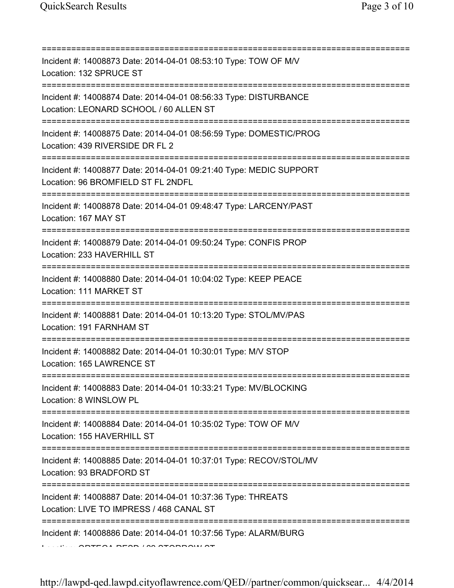| Incident #: 14008873 Date: 2014-04-01 08:53:10 Type: TOW OF M/V<br>Location: 132 SPRUCE ST<br>===================================          |
|--------------------------------------------------------------------------------------------------------------------------------------------|
| Incident #: 14008874 Date: 2014-04-01 08:56:33 Type: DISTURBANCE<br>Location: LEONARD SCHOOL / 60 ALLEN ST<br>============================ |
| Incident #: 14008875 Date: 2014-04-01 08:56:59 Type: DOMESTIC/PROG<br>Location: 439 RIVERSIDE DR FL 2                                      |
| Incident #: 14008877 Date: 2014-04-01 09:21:40 Type: MEDIC SUPPORT<br>Location: 96 BROMFIELD ST FL 2NDFL                                   |
| Incident #: 14008878 Date: 2014-04-01 09:48:47 Type: LARCENY/PAST<br>Location: 167 MAY ST                                                  |
| Incident #: 14008879 Date: 2014-04-01 09:50:24 Type: CONFIS PROP<br>Location: 233 HAVERHILL ST                                             |
| Incident #: 14008880 Date: 2014-04-01 10:04:02 Type: KEEP PEACE<br>Location: 111 MARKET ST                                                 |
| Incident #: 14008881 Date: 2014-04-01 10:13:20 Type: STOL/MV/PAS<br>Location: 191 FARNHAM ST                                               |
| Incident #: 14008882 Date: 2014-04-01 10:30:01 Type: M/V STOP<br>Location: 165 LAWRENCE ST                                                 |
| Incident #: 14008883 Date: 2014-04-01 10:33:21 Type: MV/BLOCKING<br>Location: 8 WINSLOW PL                                                 |
| Incident #: 14008884 Date: 2014-04-01 10:35:02 Type: TOW OF M/V<br>Location: 155 HAVERHILL ST                                              |
| Incident #: 14008885 Date: 2014-04-01 10:37:01 Type: RECOV/STOL/MV<br>Location: 93 BRADFORD ST                                             |
| Incident #: 14008887 Date: 2014-04-01 10:37:36 Type: THREATS<br>Location: LIVE TO IMPRESS / 468 CANAL ST                                   |
| Incident #: 14008886 Date: 2014-04-01 10:37:56 Type: ALARM/BURG                                                                            |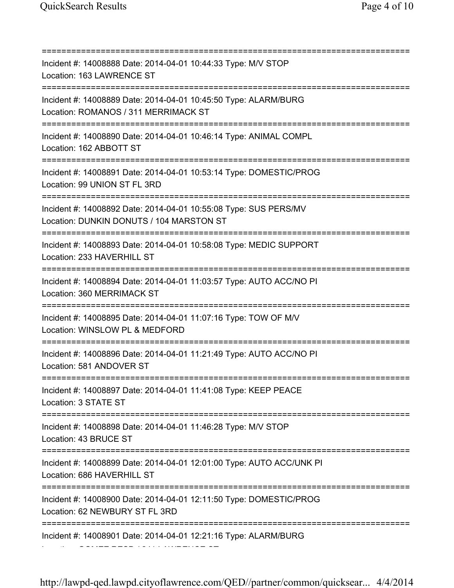=========================================================================== Incident #: 14008888 Date: 2014-04-01 10:44:33 Type: M/V STOP Location: 163 LAWRENCE ST =========================================================================== Incident #: 14008889 Date: 2014-04-01 10:45:50 Type: ALARM/BURG Location: ROMANOS / 311 MERRIMACK ST =========================================================================== Incident #: 14008890 Date: 2014-04-01 10:46:14 Type: ANIMAL COMPL Location: 162 ABBOTT ST =========================================================================== Incident #: 14008891 Date: 2014-04-01 10:53:14 Type: DOMESTIC/PROG Location: 99 UNION ST FL 3RD =========================================================================== Incident #: 14008892 Date: 2014-04-01 10:55:08 Type: SUS PERS/MV Location: DUNKIN DONUTS / 104 MARSTON ST =========================================================================== Incident #: 14008893 Date: 2014-04-01 10:58:08 Type: MEDIC SUPPORT Location: 233 HAVERHILL ST =========================================================================== Incident #: 14008894 Date: 2014-04-01 11:03:57 Type: AUTO ACC/NO PI Location: 360 MERRIMACK ST =========================================================================== Incident #: 14008895 Date: 2014-04-01 11:07:16 Type: TOW OF M/V Location: WINSLOW PL & MEDFORD =========================================================================== Incident #: 14008896 Date: 2014-04-01 11:21:49 Type: AUTO ACC/NO PI Location: 581 ANDOVER ST =========================================================================== Incident #: 14008897 Date: 2014-04-01 11:41:08 Type: KEEP PEACE Location: 3 STATE ST =========================================================================== Incident #: 14008898 Date: 2014-04-01 11:46:28 Type: M/V STOP Location: 43 BRUCE ST =========================================================================== Incident #: 14008899 Date: 2014-04-01 12:01:00 Type: AUTO ACC/UNK PI Location: 686 HAVERHILL ST =========================================================================== Incident #: 14008900 Date: 2014-04-01 12:11:50 Type: DOMESTIC/PROG Location: 62 NEWBURY ST FL 3RD =========================================================================== Incident #: 14008901 Date: 2014-04-01 12:21:16 Type: ALARM/BURG Location: GOMEZ RESD / 241 LAWRENCE ST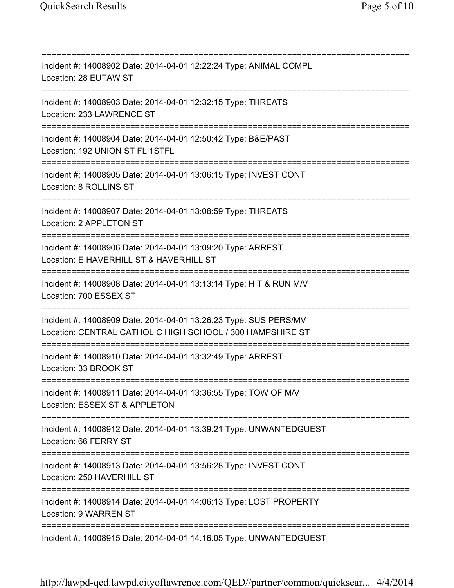=========================================================================== Incident #: 14008902 Date: 2014-04-01 12:22:24 Type: ANIMAL COMPL Location: 28 EUTAW ST =========================================================================== Incident #: 14008903 Date: 2014-04-01 12:32:15 Type: THREATS Location: 233 LAWRENCE ST =========================================================================== Incident #: 14008904 Date: 2014-04-01 12:50:42 Type: B&E/PAST Location: 192 UNION ST FL 1STFL =========================================================================== Incident #: 14008905 Date: 2014-04-01 13:06:15 Type: INVEST CONT Location: 8 ROLLINS ST =========================================================================== Incident #: 14008907 Date: 2014-04-01 13:08:59 Type: THREATS Location: 2 APPLETON ST =========================================================================== Incident #: 14008906 Date: 2014-04-01 13:09:20 Type: ARREST Location: E HAVERHILL ST & HAVERHILL ST =========================================================================== Incident #: 14008908 Date: 2014-04-01 13:13:14 Type: HIT & RUN M/V Location: 700 ESSEX ST =========================================================================== Incident #: 14008909 Date: 2014-04-01 13:26:23 Type: SUS PERS/MV Location: CENTRAL CATHOLIC HIGH SCHOOL / 300 HAMPSHIRE ST =========================================================================== Incident #: 14008910 Date: 2014-04-01 13:32:49 Type: ARREST Location: 33 BROOK ST =========================================================================== Incident #: 14008911 Date: 2014-04-01 13:36:55 Type: TOW OF M/V Location: ESSEX ST & APPLETON =========================================================================== Incident #: 14008912 Date: 2014-04-01 13:39:21 Type: UNWANTEDGUEST Location: 66 FERRY ST =========================================================================== Incident #: 14008913 Date: 2014-04-01 13:56:28 Type: INVEST CONT Location: 250 HAVERHILL ST =========================================================================== Incident #: 14008914 Date: 2014-04-01 14:06:13 Type: LOST PROPERTY Location: 9 WARREN ST =========================================================================== Incident #: 14008915 Date: 2014-04-01 14:16:05 Type: UNWANTEDGUEST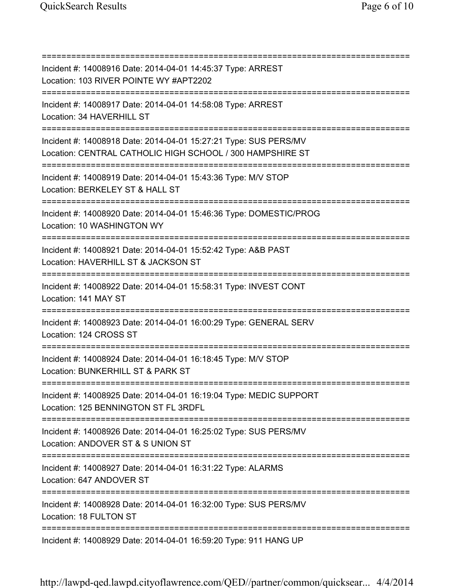=========================================================================== Incident #: 14008916 Date: 2014-04-01 14:45:37 Type: ARREST Location: 103 RIVER POINTE WY #APT2202 =========================================================================== Incident #: 14008917 Date: 2014-04-01 14:58:08 Type: ARREST Location: 34 HAVERHILL ST =========================================================================== Incident #: 14008918 Date: 2014-04-01 15:27:21 Type: SUS PERS/MV Location: CENTRAL CATHOLIC HIGH SCHOOL / 300 HAMPSHIRE ST =========================================================================== Incident #: 14008919 Date: 2014-04-01 15:43:36 Type: M/V STOP Location: BERKELEY ST & HALL ST =========================================================================== Incident #: 14008920 Date: 2014-04-01 15:46:36 Type: DOMESTIC/PROG Location: 10 WASHINGTON WY =========================================================================== Incident #: 14008921 Date: 2014-04-01 15:52:42 Type: A&B PAST Location: HAVERHILL ST & JACKSON ST =========================================================================== Incident #: 14008922 Date: 2014-04-01 15:58:31 Type: INVEST CONT Location: 141 MAY ST =========================================================================== Incident #: 14008923 Date: 2014-04-01 16:00:29 Type: GENERAL SERV Location: 124 CROSS ST =========================================================================== Incident #: 14008924 Date: 2014-04-01 16:18:45 Type: M/V STOP Location: BUNKERHILL ST & PARK ST =========================================================================== Incident #: 14008925 Date: 2014-04-01 16:19:04 Type: MEDIC SUPPORT Location: 125 BENNINGTON ST FL 3RDFL =========================================================================== Incident #: 14008926 Date: 2014-04-01 16:25:02 Type: SUS PERS/MV Location: ANDOVER ST & S UNION ST =========================================================================== Incident #: 14008927 Date: 2014-04-01 16:31:22 Type: ALARMS Location: 647 ANDOVER ST =========================================================================== Incident #: 14008928 Date: 2014-04-01 16:32:00 Type: SUS PERS/MV Location: 18 FULTON ST =========================================================================== Incident #: 14008929 Date: 2014-04-01 16:59:20 Type: 911 HANG UP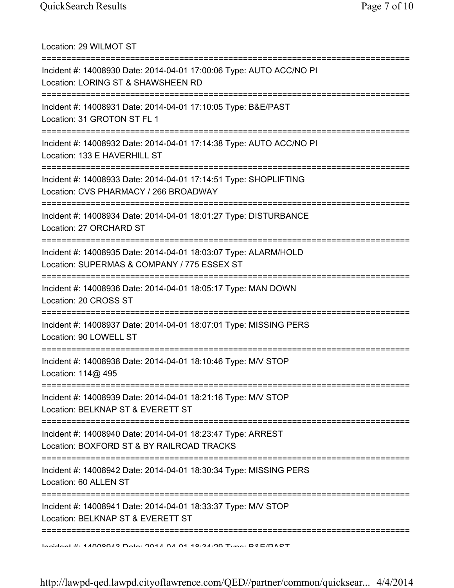Location: 29 WILMOT ST =========================================================================== Incident #: 14008930 Date: 2014-04-01 17:00:06 Type: AUTO ACC/NO PI Location: LORING ST & SHAWSHEEN RD =========================================================================== Incident #: 14008931 Date: 2014-04-01 17:10:05 Type: B&E/PAST Location: 31 GROTON ST FL 1 =========================================================================== Incident #: 14008932 Date: 2014-04-01 17:14:38 Type: AUTO ACC/NO PI Location: 133 E HAVERHILL ST =========================================================================== Incident #: 14008933 Date: 2014-04-01 17:14:51 Type: SHOPLIFTING Location: CVS PHARMACY / 266 BROADWAY =========================================================================== Incident #: 14008934 Date: 2014-04-01 18:01:27 Type: DISTURBANCE Location: 27 ORCHARD ST =========================================================================== Incident #: 14008935 Date: 2014-04-01 18:03:07 Type: ALARM/HOLD Location: SUPERMAS & COMPANY / 775 ESSEX ST =========================================================================== Incident #: 14008936 Date: 2014-04-01 18:05:17 Type: MAN DOWN Location: 20 CROSS ST =========================================================================== Incident #: 14008937 Date: 2014-04-01 18:07:01 Type: MISSING PERS Location: 90 LOWELL ST =========================================================================== Incident #: 14008938 Date: 2014-04-01 18:10:46 Type: M/V STOP Location: 114@ 495 =========================================================================== Incident #: 14008939 Date: 2014-04-01 18:21:16 Type: M/V STOP Location: BELKNAP ST & EVERETT ST =========================================================================== Incident #: 14008940 Date: 2014-04-01 18:23:47 Type: ARREST Location: BOXFORD ST & BY RAILROAD TRACKS =========================================================================== Incident #: 14008942 Date: 2014-04-01 18:30:34 Type: MISSING PERS Location: 60 ALLEN ST =========================================================================== Incident #: 14008941 Date: 2014-04-01 18:33:37 Type: M/V STOP Location: BELKNAP ST & EVERETT ST =========================================================================== Incident #: 14008943 Date: 2014 04 01 18:34:29 Type: B&E/PAST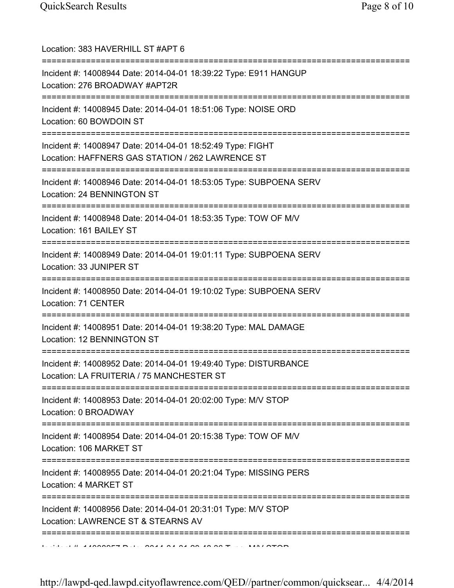| Location: 383 HAVERHILL ST #APT 6                                                                                                                      |
|--------------------------------------------------------------------------------------------------------------------------------------------------------|
| Incident #: 14008944 Date: 2014-04-01 18:39:22 Type: E911 HANGUP<br>Location: 276 BROADWAY #APT2R<br>=============================                     |
| Incident #: 14008945 Date: 2014-04-01 18:51:06 Type: NOISE ORD<br>Location: 60 BOWDOIN ST<br>=====================================                     |
| Incident #: 14008947 Date: 2014-04-01 18:52:49 Type: FIGHT<br>Location: HAFFNERS GAS STATION / 262 LAWRENCE ST<br>==================================== |
| Incident #: 14008946 Date: 2014-04-01 18:53:05 Type: SUBPOENA SERV<br>Location: 24 BENNINGTON ST                                                       |
| Incident #: 14008948 Date: 2014-04-01 18:53:35 Type: TOW OF M/V<br>Location: 161 BAILEY ST                                                             |
| Incident #: 14008949 Date: 2014-04-01 19:01:11 Type: SUBPOENA SERV<br>Location: 33 JUNIPER ST                                                          |
| Incident #: 14008950 Date: 2014-04-01 19:10:02 Type: SUBPOENA SERV<br>Location: 71 CENTER                                                              |
| Incident #: 14008951 Date: 2014-04-01 19:38:20 Type: MAL DAMAGE<br>Location: 12 BENNINGTON ST                                                          |
| Incident #: 14008952 Date: 2014-04-01 19:49:40 Type: DISTURBANCE<br>Location: LA FRUITERIA / 75 MANCHESTER ST                                          |
| Incident #: 14008953 Date: 2014-04-01 20:02:00 Type: M/V STOP<br>Location: 0 BROADWAY                                                                  |
| :=============================<br>Incident #: 14008954 Date: 2014-04-01 20:15:38 Type: TOW OF M/V<br>Location: 106 MARKET ST                           |
| ===========================<br>Incident #: 14008955 Date: 2014-04-01 20:21:04 Type: MISSING PERS<br>Location: 4 MARKET ST                              |
| Incident #: 14008956 Date: 2014-04-01 20:31:01 Type: M/V STOP<br>Location: LAWRENCE ST & STEARNS AV                                                    |
| ==============                                                                                                                                         |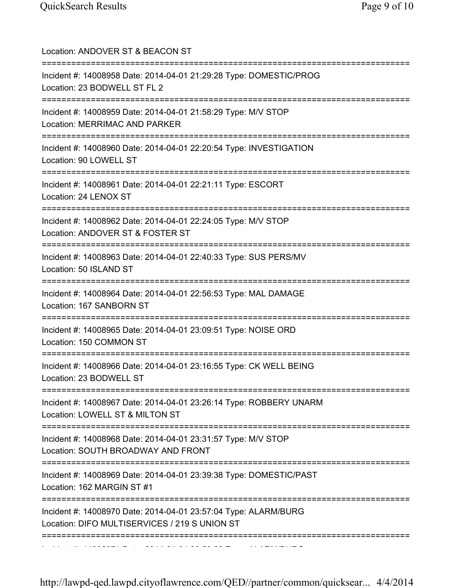| Location: ANDOVER ST & BEACON ST                                                                                        |
|-------------------------------------------------------------------------------------------------------------------------|
| Incident #: 14008958 Date: 2014-04-01 21:29:28 Type: DOMESTIC/PROG<br>Location: 23 BODWELL ST FL 2<br>:================ |
| Incident #: 14008959 Date: 2014-04-01 21:58:29 Type: M/V STOP<br>Location: MERRIMAC AND PARKER                          |
| Incident #: 14008960 Date: 2014-04-01 22:20:54 Type: INVESTIGATION<br>Location: 90 LOWELL ST                            |
| Incident #: 14008961 Date: 2014-04-01 22:21:11 Type: ESCORT<br>Location: 24 LENOX ST                                    |
| Incident #: 14008962 Date: 2014-04-01 22:24:05 Type: M/V STOP<br>Location: ANDOVER ST & FOSTER ST                       |
| Incident #: 14008963 Date: 2014-04-01 22:40:33 Type: SUS PERS/MV<br>Location: 50 ISLAND ST                              |
| Incident #: 14008964 Date: 2014-04-01 22:56:53 Type: MAL DAMAGE<br>Location: 167 SANBORN ST                             |
| Incident #: 14008965 Date: 2014-04-01 23:09:51 Type: NOISE ORD<br>Location: 150 COMMON ST                               |
| Incident #: 14008966 Date: 2014-04-01 23:16:55 Type: CK WELL BEING<br>Location: 23 BODWELL ST                           |
| Incident #: 14008967 Date: 2014-04-01 23:26:14 Type: ROBBERY UNARM<br>Location: LOWELL ST & MILTON ST                   |
| Incident #: 14008968 Date: 2014-04-01 23:31:57 Type: M/V STOP<br>Location: SOUTH BROADWAY AND FRONT                     |
| Incident #: 14008969 Date: 2014-04-01 23:39:38 Type: DOMESTIC/PAST<br>Location: 162 MARGIN ST #1                        |
| Incident #: 14008970 Date: 2014-04-01 23:57:04 Type: ALARM/BURG<br>Location: DIFO MULTISERVICES / 219 S UNION ST        |
|                                                                                                                         |